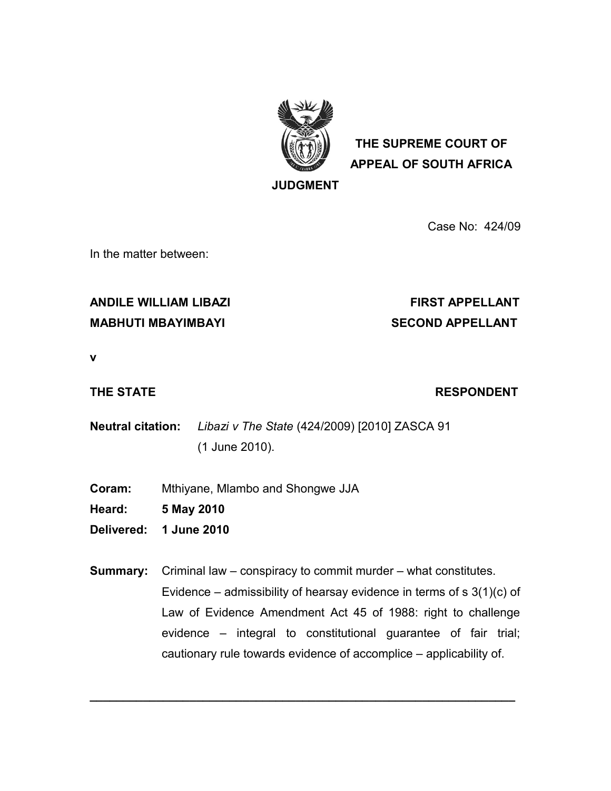

**THE SUPREME COURT OF APPEAL OF SOUTH AFRICA**

**JUDGMENT**

Case No: 424/09

In the matter between:

## ANDILE WILLIAM LIBAZI **FIRST APPELLANT**

# **MABHUTI MBAYIMBAYI SECOND APPELLANT**

**v**

### **THE STATE RESPONDENT**

**Neutral citation:** *Libazi v The State* (424/2009) [2010] ZASCA 91 (1 June 2010).

- **Coram:** Mthiyane, Mlambo and Shongwe JJA
- **Heard: 5 May 2010**
- **Delivered: 1 June 2010**

**Summary:** Criminal law – conspiracy to commit murder – what constitutes. Evidence – admissibility of hearsay evidence in terms of  $s \, 3(1)(c)$  of Law of Evidence Amendment Act 45 of 1988: right to challenge evidence – integral to constitutional guarantee of fair trial; cautionary rule towards evidence of accomplice – applicability of.

**\_\_\_\_\_\_\_\_\_\_\_\_\_\_\_\_\_\_\_\_\_\_\_\_\_\_\_\_\_\_\_\_\_\_\_\_\_\_\_\_\_\_\_\_\_\_\_\_\_\_\_\_\_\_\_\_\_\_\_\_\_\_\_\_**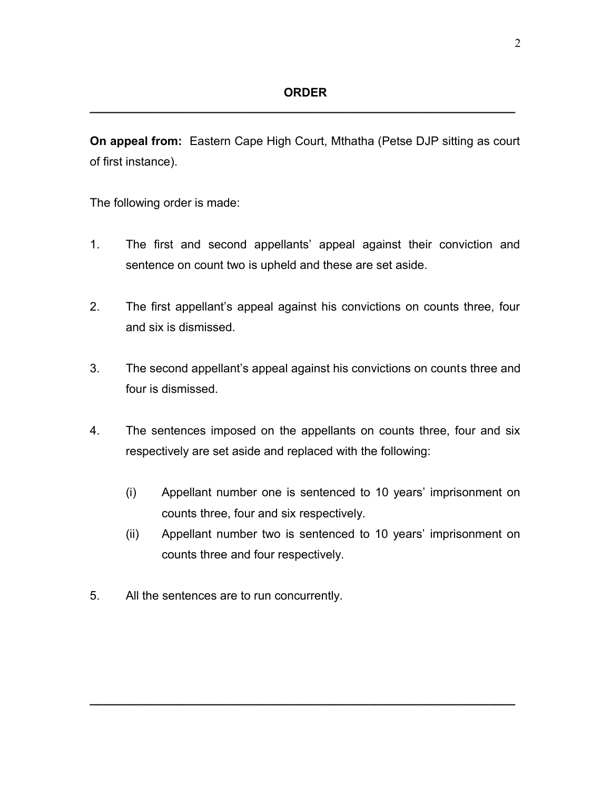**On appeal from:** Eastern Cape High Court, Mthatha (Petse DJP sitting as court of first instance).

The following order is made:

- 1. The first and second appellants' appeal against their conviction and sentence on count two is upheld and these are set aside.
- 2. The first appellant's appeal against his convictions on counts three, four and six is dismissed.
- 3. The second appellant's appeal against his convictions on counts three and four is dismissed.
- 4. The sentences imposed on the appellants on counts three, four and six respectively are set aside and replaced with the following:
	- (i) Appellant number one is sentenced to 10 years' imprisonment on counts three, four and six respectively.
	- (ii) Appellant number two is sentenced to 10 years' imprisonment on counts three and four respectively.

**\_\_\_\_\_\_\_\_\_\_\_\_\_\_\_\_\_\_\_\_\_\_\_\_\_\_\_\_\_\_\_\_\_\_\_\_\_\_\_\_\_\_\_\_\_\_\_\_\_\_\_\_\_\_\_\_\_\_\_\_\_\_\_\_**

5. All the sentences are to run concurrently.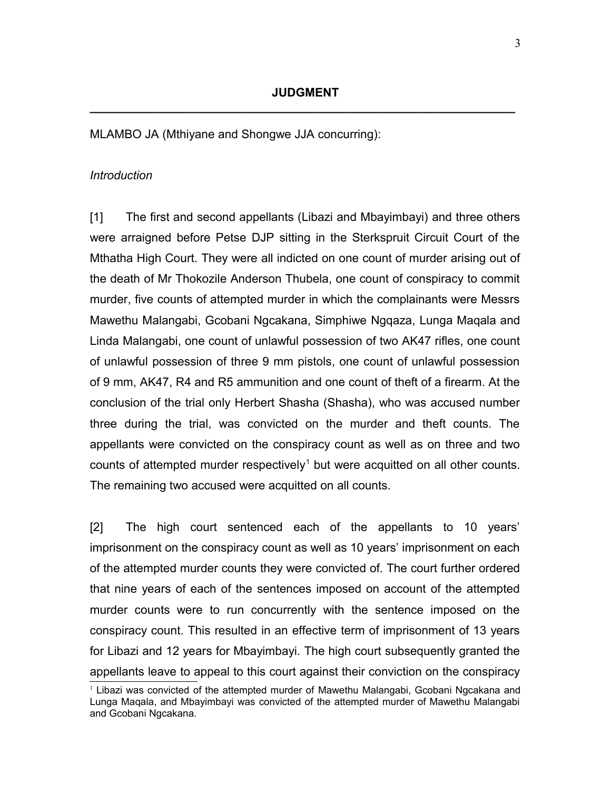MLAMBO JA (Mthiyane and Shongwe JJA concurring):

#### *Introduction*

[1] The first and second appellants (Libazi and Mbayimbayi) and three others were arraigned before Petse DJP sitting in the Sterkspruit Circuit Court of the Mthatha High Court. They were all indicted on one count of murder arising out of the death of Mr Thokozile Anderson Thubela, one count of conspiracy to commit murder, five counts of attempted murder in which the complainants were Messrs Mawethu Malangabi, Gcobani Ngcakana, Simphiwe Ngqaza, Lunga Maqala and Linda Malangabi, one count of unlawful possession of two AK47 rifles, one count of unlawful possession of three 9 mm pistols, one count of unlawful possession of 9 mm, AK47, R4 and R5 ammunition and one count of theft of a firearm. At the conclusion of the trial only Herbert Shasha (Shasha), who was accused number three during the trial, was convicted on the murder and theft counts. The appellants were convicted on the conspiracy count as well as on three and two counts of attempted murder respectively<sup>[1](#page-2-0)</sup> but were acquitted on all other counts. The remaining two accused were acquitted on all counts.

[2] The high court sentenced each of the appellants to 10 years' imprisonment on the conspiracy count as well as 10 years' imprisonment on each of the attempted murder counts they were convicted of. The court further ordered that nine years of each of the sentences imposed on account of the attempted murder counts were to run concurrently with the sentence imposed on the conspiracy count. This resulted in an effective term of imprisonment of 13 years for Libazi and 12 years for Mbayimbayi. The high court subsequently granted the appellants leave to appeal to this court against their conviction on the conspiracy

<span id="page-2-0"></span><sup>&</sup>lt;sup>1</sup> Libazi was convicted of the attempted murder of Mawethu Malangabi, Gcobani Ngcakana and Lunga Maqala, and Mbayimbayi was convicted of the attempted murder of Mawethu Malangabi and Gcobani Ngcakana.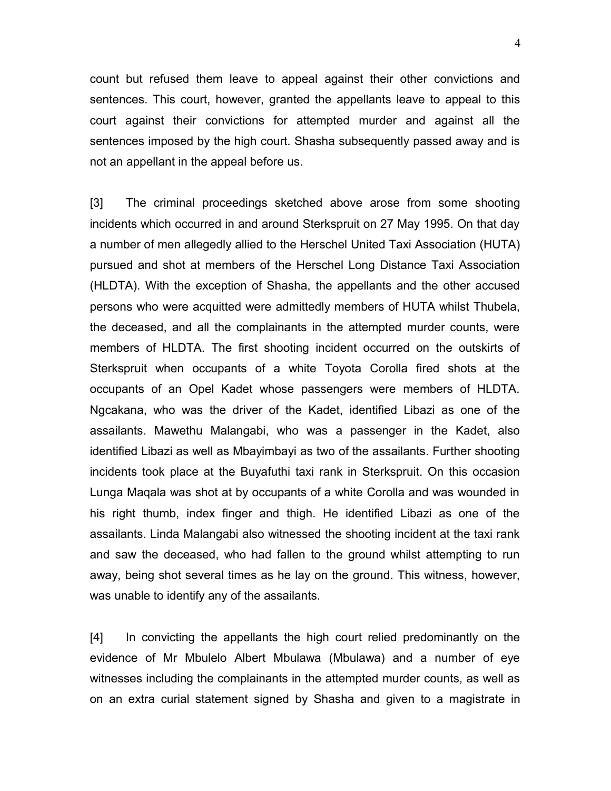count but refused them leave to appeal against their other convictions and sentences. This court, however, granted the appellants leave to appeal to this court against their convictions for attempted murder and against all the sentences imposed by the high court. Shasha subsequently passed away and is not an appellant in the appeal before us.

[3] The criminal proceedings sketched above arose from some shooting incidents which occurred in and around Sterkspruit on 27 May 1995. On that day a number of men allegedly allied to the Herschel United Taxi Association (HUTA) pursued and shot at members of the Herschel Long Distance Taxi Association (HLDTA). With the exception of Shasha, the appellants and the other accused persons who were acquitted were admittedly members of HUTA whilst Thubela, the deceased, and all the complainants in the attempted murder counts, were members of HLDTA. The first shooting incident occurred on the outskirts of Sterkspruit when occupants of a white Toyota Corolla fired shots at the occupants of an Opel Kadet whose passengers were members of HLDTA. Ngcakana, who was the driver of the Kadet, identified Libazi as one of the assailants. Mawethu Malangabi, who was a passenger in the Kadet, also identified Libazi as well as Mbayimbayi as two of the assailants. Further shooting incidents took place at the Buyafuthi taxi rank in Sterkspruit. On this occasion Lunga Maqala was shot at by occupants of a white Corolla and was wounded in his right thumb, index finger and thigh. He identified Libazi as one of the assailants. Linda Malangabi also witnessed the shooting incident at the taxi rank and saw the deceased, who had fallen to the ground whilst attempting to run away, being shot several times as he lay on the ground. This witness, however, was unable to identify any of the assailants.

[4] In convicting the appellants the high court relied predominantly on the evidence of Mr Mbulelo Albert Mbulawa (Mbulawa) and a number of eye witnesses including the complainants in the attempted murder counts, as well as on an extra curial statement signed by Shasha and given to a magistrate in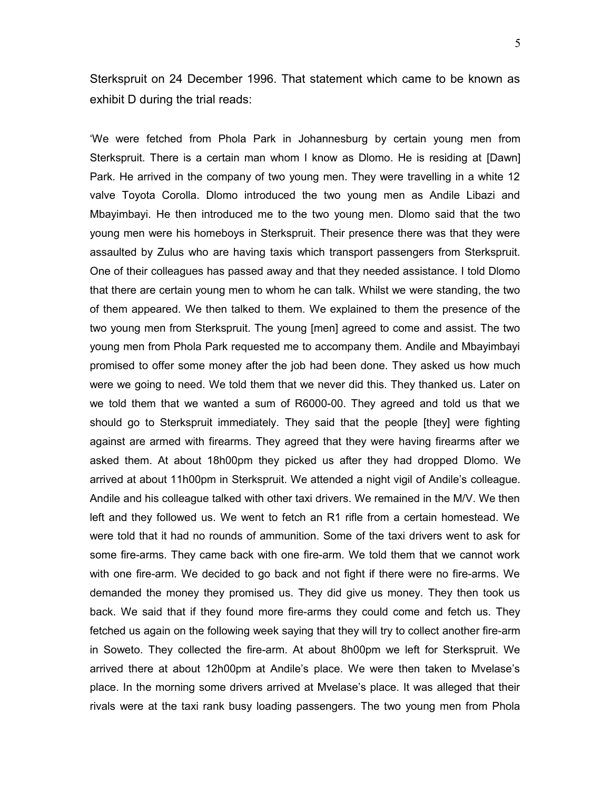Sterkspruit on 24 December 1996. That statement which came to be known as exhibit D during the trial reads:

'We were fetched from Phola Park in Johannesburg by certain young men from Sterkspruit. There is a certain man whom I know as Dlomo. He is residing at [Dawn] Park. He arrived in the company of two young men. They were travelling in a white 12 valve Toyota Corolla. Dlomo introduced the two young men as Andile Libazi and Mbayimbayi. He then introduced me to the two young men. Dlomo said that the two young men were his homeboys in Sterkspruit. Their presence there was that they were assaulted by Zulus who are having taxis which transport passengers from Sterkspruit. One of their colleagues has passed away and that they needed assistance. I told Dlomo that there are certain young men to whom he can talk. Whilst we were standing, the two of them appeared. We then talked to them. We explained to them the presence of the two young men from Sterkspruit. The young [men] agreed to come and assist. The two young men from Phola Park requested me to accompany them. Andile and Mbayimbayi promised to offer some money after the job had been done. They asked us how much were we going to need. We told them that we never did this. They thanked us. Later on we told them that we wanted a sum of R6000-00. They agreed and told us that we should go to Sterkspruit immediately. They said that the people [they] were fighting against are armed with firearms. They agreed that they were having firearms after we asked them. At about 18h00pm they picked us after they had dropped Dlomo. We arrived at about 11h00pm in Sterkspruit. We attended a night vigil of Andile's colleague. Andile and his colleague talked with other taxi drivers. We remained in the M/V. We then left and they followed us. We went to fetch an R1 rifle from a certain homestead. We were told that it had no rounds of ammunition. Some of the taxi drivers went to ask for some fire-arms. They came back with one fire-arm. We told them that we cannot work with one fire-arm. We decided to go back and not fight if there were no fire-arms. We demanded the money they promised us. They did give us money. They then took us back. We said that if they found more fire-arms they could come and fetch us. They fetched us again on the following week saying that they will try to collect another fire-arm in Soweto. They collected the fire-arm. At about 8h00pm we left for Sterkspruit. We arrived there at about 12h00pm at Andile's place. We were then taken to Mvelase's place. In the morning some drivers arrived at Mvelase's place. It was alleged that their rivals were at the taxi rank busy loading passengers. The two young men from Phola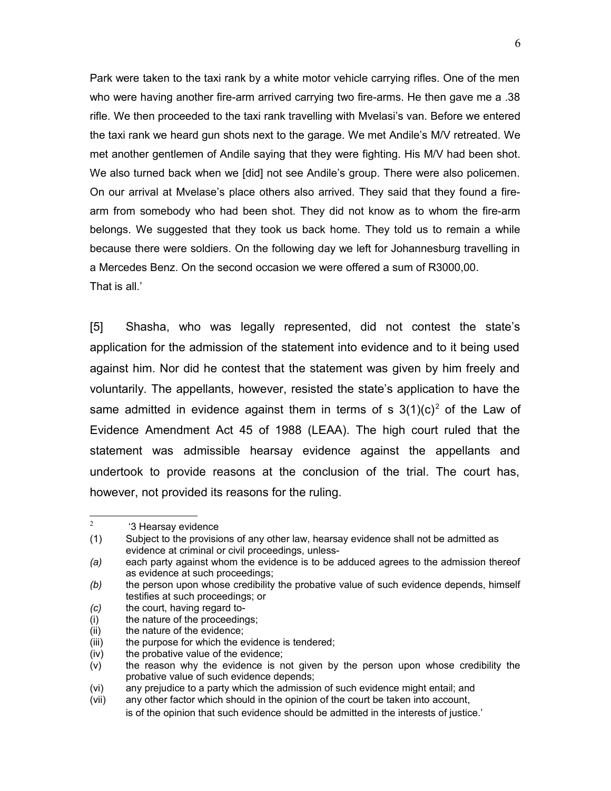Park were taken to the taxi rank by a white motor vehicle carrying rifles. One of the men who were having another fire-arm arrived carrying two fire-arms. He then gave me a .38 rifle. We then proceeded to the taxi rank travelling with Mvelasi's van. Before we entered the taxi rank we heard gun shots next to the garage. We met Andile's M/V retreated. We met another gentlemen of Andile saying that they were fighting. His M/V had been shot. We also turned back when we [did] not see Andile's group. There were also policemen. On our arrival at Mvelase's place others also arrived. They said that they found a firearm from somebody who had been shot. They did not know as to whom the fire-arm belongs. We suggested that they took us back home. They told us to remain a while because there were soldiers. On the following day we left for Johannesburg travelling in a Mercedes Benz. On the second occasion we were offered a sum of R3000,00. That is all.'

[5] Shasha, who was legally represented, did not contest the state's application for the admission of the statement into evidence and to it being used against him. Nor did he contest that the statement was given by him freely and voluntarily. The appellants, however, resisted the state's application to have the same admitted in evidence against them in terms of s  $3(1)(c)^2$  $3(1)(c)^2$  of the Law of Evidence Amendment Act 45 of 1988 (LEAA). The high court ruled that the statement was admissible hearsay evidence against the appellants and undertook to provide reasons at the conclusion of the trial. The court has, however, not provided its reasons for the ruling.

<span id="page-5-0"></span> $2<sup>1</sup>$ '3 Hearsay evidence

<sup>(1)</sup> Subject to the provisions of any other law, hearsay evidence shall not be admitted as evidence at criminal or civil proceedings, unless-

*<sup>(</sup>a)* each party against whom the evidence is to be adduced agrees to the admission thereof as evidence at such proceedings;

*<sup>(</sup>b)* the person upon whose credibility the probative value of such evidence depends, himself testifies at such proceedings; or

*<sup>(</sup>c)* the court, having regard to-

<sup>(</sup>i) the nature of the proceedings;

<sup>(</sup>ii) the nature of the evidence;

<sup>(</sup>iii) the purpose for which the evidence is tendered;

<sup>(</sup>iv) the probative value of the evidence;

<sup>(</sup>v) the reason why the evidence is not given by the person upon whose credibility the probative value of such evidence depends;

<sup>(</sup>vi) any prejudice to a party which the admission of such evidence might entail; and

<sup>(</sup>vii) any other factor which should in the opinion of the court be taken into account, is of the opinion that such evidence should be admitted in the interests of justice.'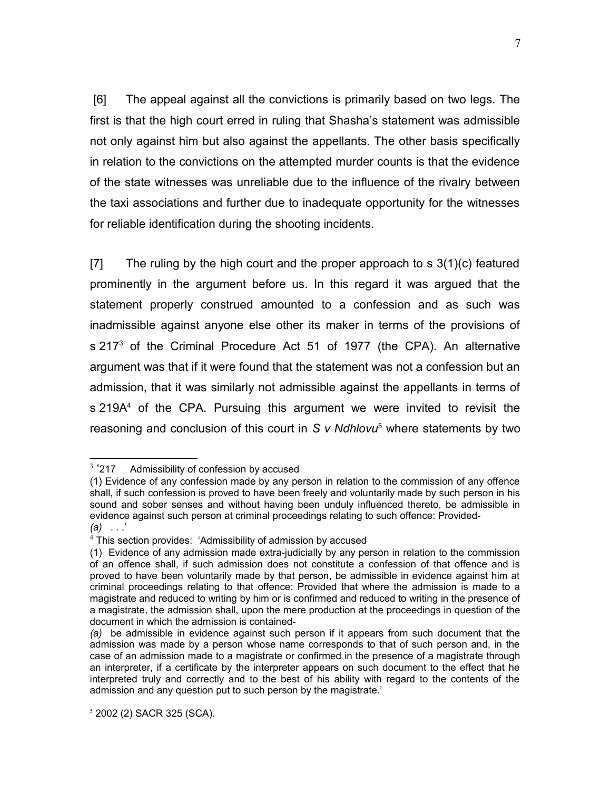[6] The appeal against all the convictions is primarily based on two legs. The first is that the high court erred in ruling that Shasha's statement was admissible not only against him but also against the appellants. The other basis specifically in relation to the convictions on the attempted murder counts is that the evidence of the state witnesses was unreliable due to the influence of the rivalry between the taxi associations and further due to inadequate opportunity for the witnesses for reliable identification during the shooting incidents.

[7] The ruling by the high court and the proper approach to  $s$  3(1)(c) featured prominently in the argument before us. In this regard it was argued that the statement properly construed amounted to a confession and as such was inadmissible against anyone else other its maker in terms of the provisions of s 217<sup>[3](#page-6-0)</sup> of the Criminal Procedure Act 51 of 1977 (the CPA). An alternative argument was that if it were found that the statement was not a confession but an admission, that it was similarly not admissible against the appellants in terms of s 219A<sup>[4](#page-6-1)</sup> of the CPA. Pursuing this argument we were invited to revisit the reasoning and conclusion of this court in S v Ndhlovu<sup>[5](#page-6-2)</sup> where statements by two

<span id="page-6-0"></span> $3.917$ Admissibility of confession by accused

<sup>(1)</sup> Evidence of any confession made by any person in relation to the commission of any offence shall, if such confession is proved to have been freely and voluntarily made by such person in his sound and sober senses and without having been unduly influenced thereto, be admissible in evidence against such person at criminal proceedings relating to such offence: Provided- *(a)* . . .'

<span id="page-6-1"></span><sup>&</sup>lt;sup>4</sup> This section provides: 'Admissibility of admission by accused

<sup>(1)</sup> Evidence of any admission made extra-judicially by any person in relation to the commission of an offence shall, if such admission does not constitute a confession of that offence and is proved to have been voluntarily made by that person, be admissible in evidence against him at criminal proceedings relating to that offence: Provided that where the admission is made to a magistrate and reduced to writing by him or is confirmed and reduced to writing in the presence of a magistrate, the admission shall, upon the mere production at the proceedings in question of the document in which the admission is contained-

*<sup>(</sup>a)* be admissible in evidence against such person if it appears from such document that the admission was made by a person whose name corresponds to that of such person and, in the case of an admission made to a magistrate or confirmed in the presence of a magistrate through an interpreter, if a certificate by the interpreter appears on such document to the effect that he interpreted truly and correctly and to the best of his ability with regard to the contents of the admission and any question put to such person by the magistrate.'

<span id="page-6-2"></span><sup>5</sup> 2002 (2) SACR 325 (SCA).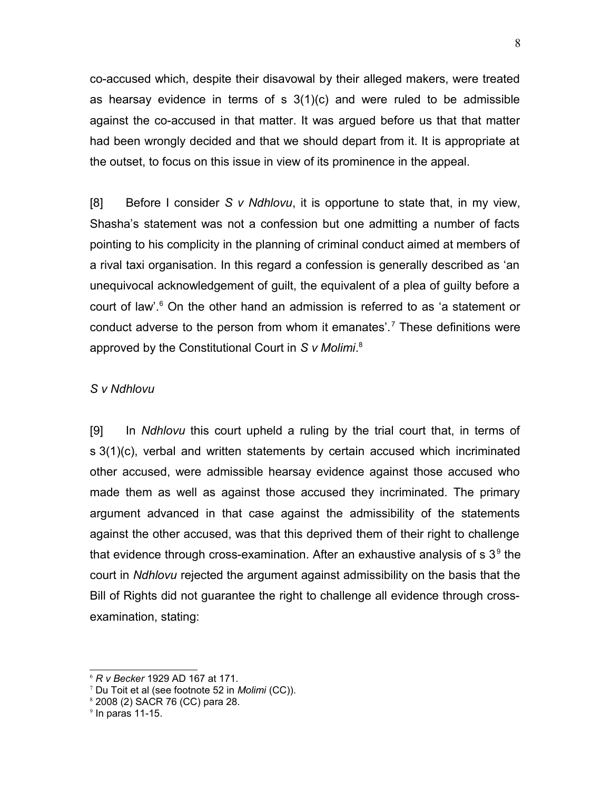co-accused which, despite their disavowal by their alleged makers, were treated as hearsay evidence in terms of  $s$  3(1)(c) and were ruled to be admissible against the co-accused in that matter. It was argued before us that that matter had been wrongly decided and that we should depart from it. It is appropriate at the outset, to focus on this issue in view of its prominence in the appeal.

[8] Before I consider *S v Ndhlovu*, it is opportune to state that, in my view, Shasha's statement was not a confession but one admitting a number of facts pointing to his complicity in the planning of criminal conduct aimed at members of a rival taxi organisation. In this regard a confession is generally described as 'an unequivocal acknowledgement of guilt, the equivalent of a plea of guilty before a court of law'.<sup>[6](#page-7-0)</sup> On the other hand an admission is referred to as 'a statement or conduct adverse to the person from whom it emanates'.<sup>[7](#page-7-1)</sup> These definitions were approved by the Constitutional Court in *S v Molimi*. [8](#page-7-2)

#### *S v Ndhlovu*

[9] In *Ndhlovu* this court upheld a ruling by the trial court that, in terms of s 3(1)(c), verbal and written statements by certain accused which incriminated other accused, were admissible hearsay evidence against those accused who made them as well as against those accused they incriminated. The primary argument advanced in that case against the admissibility of the statements against the other accused, was that this deprived them of their right to challenge that evidence through cross-examination. After an exhaustive analysis of s 3<sup>[9](#page-7-3)</sup> the court in *Ndhlovu* rejected the argument against admissibility on the basis that the Bill of Rights did not guarantee the right to challenge all evidence through crossexamination, stating:

<span id="page-7-0"></span><sup>6</sup> *R v Becker* 1929 AD 167 at 171.

<span id="page-7-1"></span><sup>7</sup> Du Toit et al (see footnote 52 in *Molimi* (CC)).

<span id="page-7-2"></span><sup>8</sup> 2008 (2) SACR 76 (CC) para 28.

<span id="page-7-3"></span> $9$  In paras 11-15.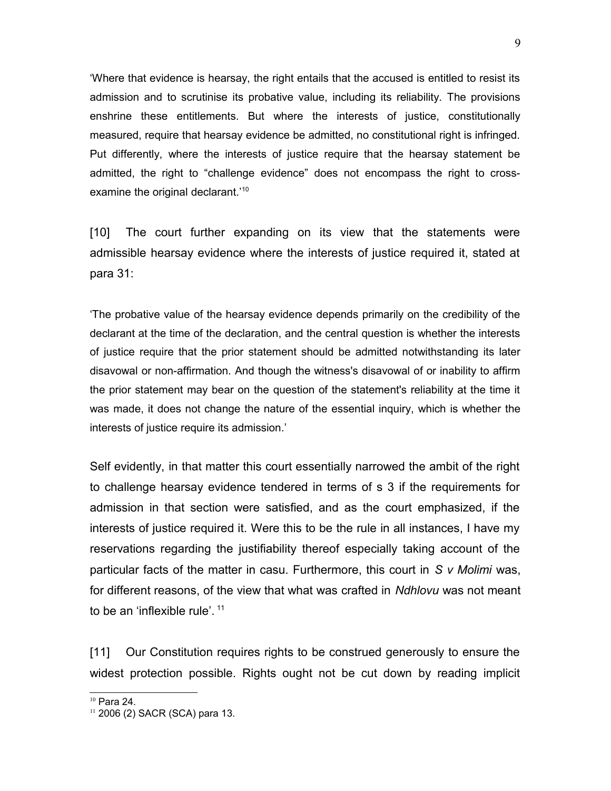'Where that evidence is hearsay, the right entails that the accused is entitled to resist its admission and to scrutinise its probative value, including its reliability. The provisions enshrine these entitlements. But where the interests of justice, constitutionally measured, require that hearsay evidence be admitted, no constitutional right is infringed. Put differently, where the interests of justice require that the hearsay statement be admitted, the right to "challenge evidence" does not encompass the right to cross-examine the original declarant.<sup>'[10](#page-8-0)</sup>

[10] The court further expanding on its view that the statements were admissible hearsay evidence where the interests of justice required it, stated at para 31:

'The probative value of the hearsay evidence depends primarily on the credibility of the declarant at the time of the declaration, and the central question is whether the interests of justice require that the prior statement should be admitted notwithstanding its later disavowal or non-affirmation. And though the witness's disavowal of or inability to affirm the prior statement may bear on the question of the statement's reliability at the time it was made, it does not change the nature of the essential inquiry, which is whether the interests of justice require its admission.'

Self evidently, in that matter this court essentially narrowed the ambit of the right to challenge hearsay evidence tendered in terms of s 3 if the requirements for admission in that section were satisfied, and as the court emphasized, if the interests of justice required it. Were this to be the rule in all instances, I have my reservations regarding the justifiability thereof especially taking account of the particular facts of the matter in casu. Furthermore, this court in *S v Molimi* was, for different reasons, of the view that what was crafted in *Ndhlovu* was not meant to be an 'inflexible rule'.<sup>[11](#page-8-1)</sup>

[11] Our Constitution requires rights to be construed generously to ensure the widest protection possible. Rights ought not be cut down by reading implicit

<span id="page-8-0"></span><sup>10</sup> Para 24.

<span id="page-8-1"></span><sup>11</sup> 2006 (2) SACR (SCA) para 13.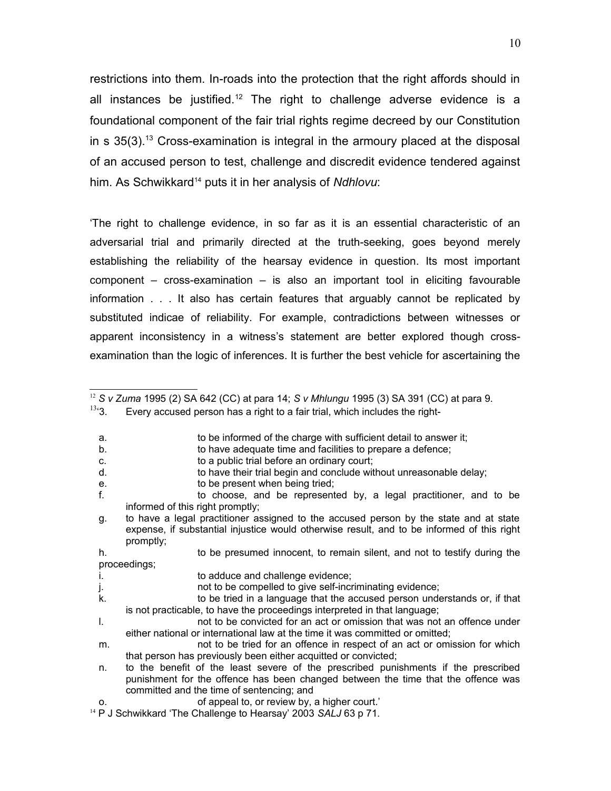restrictions into them. In-roads into the protection that the right affords should in all instances be justified.<sup>[12](#page-9-0)</sup> The right to challenge adverse evidence is a foundational component of the fair trial rights regime decreed by our Constitution in s  $35(3)$ .<sup>[13](#page-9-1)</sup> Cross-examination is integral in the armoury placed at the disposal of an accused person to test, challenge and discredit evidence tendered against him. As Schwikkard[14](#page-9-2) puts it in her analysis of *Ndhlovu*:

'The right to challenge evidence, in so far as it is an essential characteristic of an adversarial trial and primarily directed at the truth-seeking, goes beyond merely establishing the reliability of the hearsay evidence in question. Its most important component – cross-examination – is also an important tool in eliciting favourable information . . . It also has certain features that arguably cannot be replicated by substituted indicae of reliability. For example, contradictions between witnesses or apparent inconsistency in a witness's statement are better explored though crossexamination than the logic of inferences. It is further the best vehicle for ascertaining the

- b. to have adequate time and facilities to prepare a defence;
- c. to a public trial before an ordinary court;
- d. to have their trial begin and conclude without unreasonable delay;
- e. to be present when being tried;
- f. to choose, and be represented by, a legal practitioner, and to be informed of this right promptly;
- g. to have a legal practitioner assigned to the accused person by the state and at state expense, if substantial injustice would otherwise result, and to be informed of this right promptly;

<span id="page-9-0"></span><sup>12</sup> *S v Zuma* 1995 (2) SA 642 (CC) at para 14; *S v Mhlungu* 1995 (3) SA 391 (CC) at para 9.

<span id="page-9-1"></span> $13.3$ . Every accused person has a right to a fair trial, which includes the right-

a. to be informed of the charge with sufficient detail to answer it;

h. to be presumed innocent, to remain silent, and not to testify during the proceedings;

i. to adduce and challenge evidence;

j. not to be compelled to give self-incriminating evidence;

k. to be tried in a language that the accused person understands or, if that is not practicable, to have the proceedings interpreted in that language;

l. not to be convicted for an act or omission that was not an offence under either national or international law at the time it was committed or omitted;

m. not to be tried for an offence in respect of an act or omission for which that person has previously been either acquitted or convicted;

n. to the benefit of the least severe of the prescribed punishments if the prescribed punishment for the offence has been changed between the time that the offence was committed and the time of sentencing; and

o. of appeal to, or review by, a higher court.'

<span id="page-9-2"></span><sup>14</sup> P J Schwikkard 'The Challenge to Hearsay' 2003 *SALJ* 63 p 71.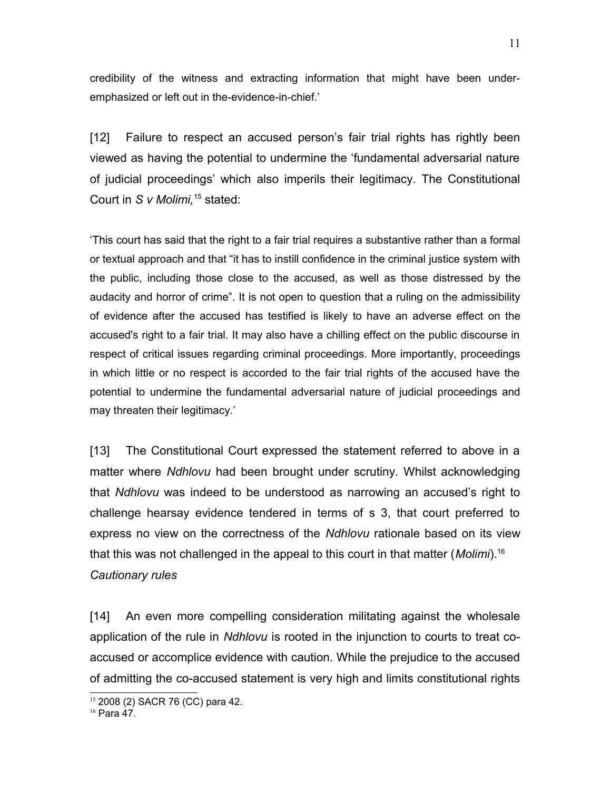credibility of the witness and extracting information that might have been underemphasized or left out in the-evidence-in-chief.'

[12] Failure to respect an accused person's fair trial rights has rightly been viewed as having the potential to undermine the 'fundamental adversarial nature of judicial proceedings' which also imperils their legitimacy. The Constitutional Court in *S v Molimi,*[15](#page-10-0) stated:

'This court has said that the right to a fair trial requires a substantive rather than a formal or textual approach and that "it has to instill confidence in the criminal justice system with the public, including those close to the accused, as well as those distressed by the audacity and horror of crime". It is not open to question that a ruling on the admissibility of evidence after the accused has testified is likely to have an adverse effect on the accused's right to a fair trial. It may also have a chilling effect on the public discourse in respect of critical issues regarding criminal proceedings. More importantly, proceedings in which little or no respect is accorded to the fair trial rights of the accused have the potential to undermine the fundamental adversarial nature of judicial proceedings and may threaten their legitimacy.'

[13] The Constitutional Court expressed the statement referred to above in a matter where *Ndhlovu* had been brought under scrutiny. Whilst acknowledging that *Ndhlovu* was indeed to be understood as narrowing an accused's right to challenge hearsay evidence tendered in terms of s 3, that court preferred to express no view on the correctness of the *Ndhlovu* rationale based on its view that this was not challenged in the appeal to this court in that matter (*Molimi*).[16](#page-10-1) *Cautionary rules*

[14] An even more compelling consideration militating against the wholesale application of the rule in *Ndhlovu* is rooted in the injunction to courts to treat coaccused or accomplice evidence with caution. While the prejudice to the accused of admitting the co-accused statement is very high and limits constitutional rights

<span id="page-10-0"></span><sup>15</sup> 2008 (2) SACR 76 (CC) para 42.

<span id="page-10-1"></span> $16$  Para 47.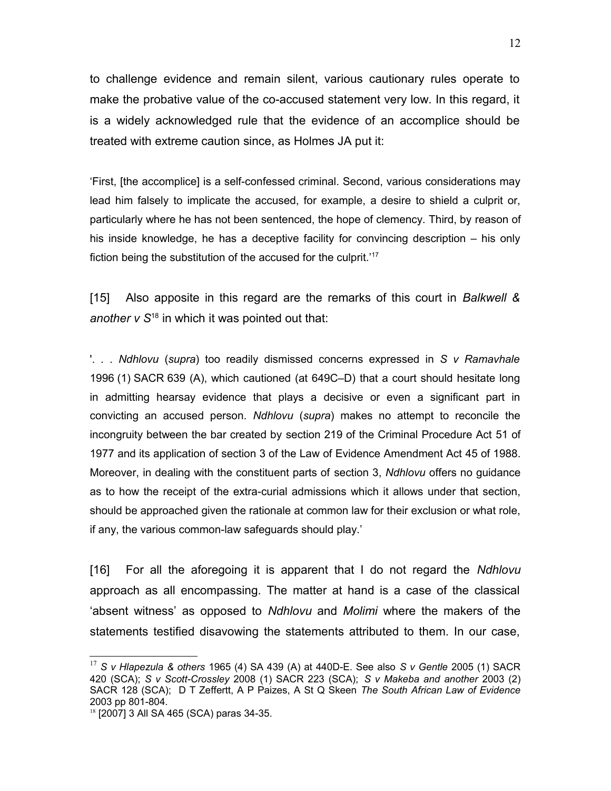to challenge evidence and remain silent, various cautionary rules operate to make the probative value of the co-accused statement very low. In this regard, it is a widely acknowledged rule that the evidence of an accomplice should be treated with extreme caution since, as Holmes JA put it:

'First, [the accomplice] is a self-confessed criminal. Second, various considerations may lead him falsely to implicate the accused, for example, a desire to shield a culprit or, particularly where he has not been sentenced, the hope of clemency. Third, by reason of his inside knowledge, he has a deceptive facility for convincing description – his only fiction being the substitution of the accused for the culprit.<sup>'[17](#page-11-0)</sup>

[15] Also apposite in this regard are the remarks of this court in *Balkwell & another v S*[18](#page-11-1) in which it was pointed out that:

'. . . *Ndhlovu* (*supra*) too readily dismissed concerns expressed in *S v Ramavhale* 1996 (1) SACR 639 (A), which cautioned (at 649C–D) that a court should hesitate long in admitting hearsay evidence that plays a decisive or even a significant part in convicting an accused person. *Ndhlovu* (*supra*) makes no attempt to reconcile the incongruity between the bar created by [section 219](http://www.mylexisnexis.co.za/nxt/gateway.dll/jilc/kilc/egqg/wqqg/xqqg/nffh#0) of the Criminal Procedure Act [51 of](http://www.mylexisnexis.co.za/nxt/gateway.dll/jilc/kilc/egqg/wqqg/xqqg#0) [1977](http://www.mylexisnexis.co.za/nxt/gateway.dll/jilc/kilc/egqg/wqqg/xqqg#0) and its application of [section 3](http://www.mylexisnexis.co.za/nxt/gateway.dll/jilc/kilc/egqg/8iqg/ajqg/cjqg/dj7g#0) of the Law of Evidence Amendment Act [45 of 1988.](http://www.mylexisnexis.co.za/nxt/gateway.dll/jilc/kilc/egqg/8iqg/ajqg/cjqg#0) Moreover, in dealing with the constituent parts of [section 3,](http://www.mylexisnexis.co.za/nxt/gateway.dll/jilc/kilc/egqg/wqqg/xqqg/n7eh#0) *Ndhlovu* offers no guidance as to how the receipt of the extra-curial admissions which it allows under that section, should be approached given the rationale at common law for their exclusion or what role, if any, the various common-law safeguards should play.'

[16] For all the aforegoing it is apparent that I do not regard the *Ndhlovu* approach as all encompassing. The matter at hand is a case of the classical 'absent witness' as opposed to *Ndhlovu* and *Molimi* where the makers of the statements testified disavowing the statements attributed to them. In our case,

<span id="page-11-0"></span><sup>17</sup> *S v Hlapezula & others* 1965 (4) SA 439 (A) at 440D-E. See also *S v Gentle* 2005 (1) SACR 420 (SCA); *S v Scott-Crossley* 2008 (1) SACR 223 (SCA); *S v Makeba and another* 2003 (2) SACR 128 (SCA); D T Zeffertt, A P Paizes, A St Q Skeen *The South African Law of Evidence* 2003 pp 801-804.

<span id="page-11-1"></span><sup>18</sup> [2007] 3 All SA 465 (SCA) paras 34-35.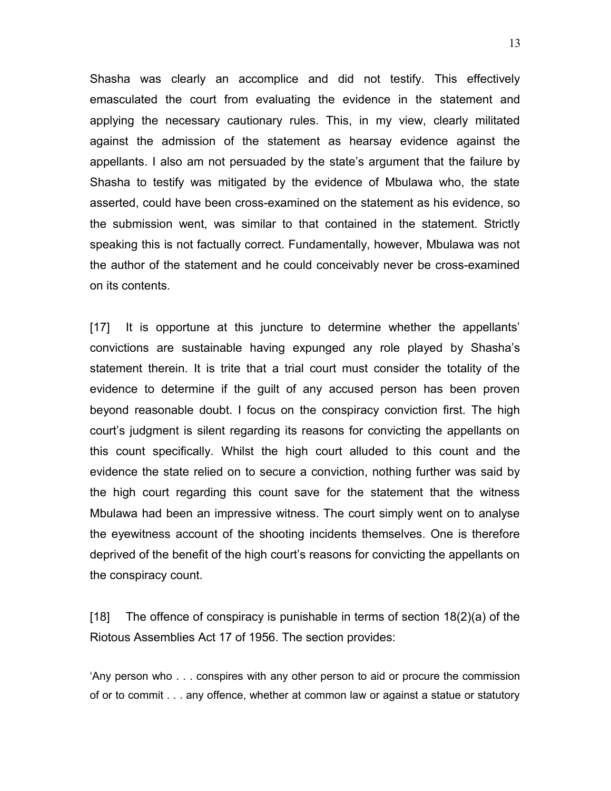Shasha was clearly an accomplice and did not testify. This effectively emasculated the court from evaluating the evidence in the statement and applying the necessary cautionary rules. This, in my view, clearly militated against the admission of the statement as hearsay evidence against the appellants. I also am not persuaded by the state's argument that the failure by Shasha to testify was mitigated by the evidence of Mbulawa who, the state asserted, could have been cross-examined on the statement as his evidence, so the submission went, was similar to that contained in the statement. Strictly speaking this is not factually correct. Fundamentally, however, Mbulawa was not the author of the statement and he could conceivably never be cross-examined on its contents.

[17] It is opportune at this juncture to determine whether the appellants' convictions are sustainable having expunged any role played by Shasha's statement therein. It is trite that a trial court must consider the totality of the evidence to determine if the guilt of any accused person has been proven beyond reasonable doubt. I focus on the conspiracy conviction first. The high court's judgment is silent regarding its reasons for convicting the appellants on this count specifically. Whilst the high court alluded to this count and the evidence the state relied on to secure a conviction, nothing further was said by the high court regarding this count save for the statement that the witness Mbulawa had been an impressive witness. The court simply went on to analyse the eyewitness account of the shooting incidents themselves. One is therefore deprived of the benefit of the high court's reasons for convicting the appellants on the conspiracy count.

[18] The offence of conspiracy is punishable in terms of section 18(2)(a) of the Riotous Assemblies Act 17 of 1956. The section provides:

'Any person who . . . conspires with any other person to aid or procure the commission of or to commit . . . any offence, whether at common law or against a statue or statutory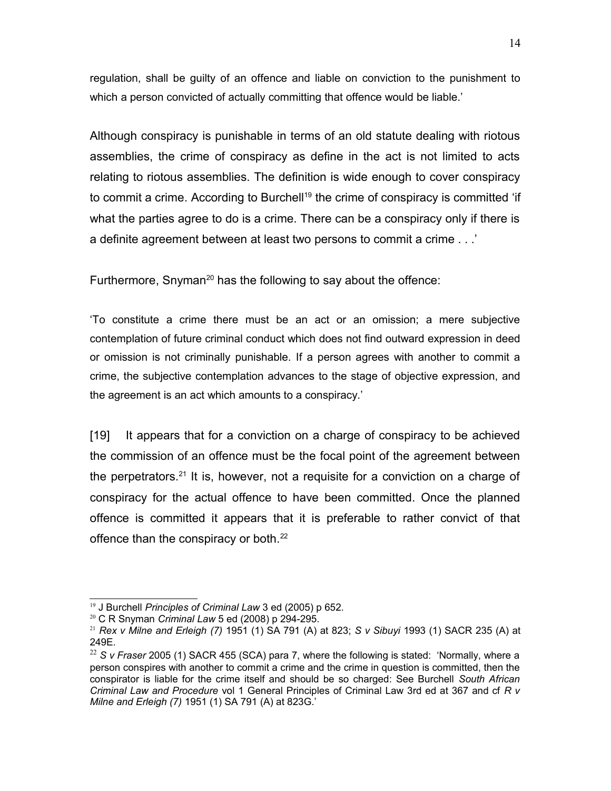regulation, shall be guilty of an offence and liable on conviction to the punishment to which a person convicted of actually committing that offence would be liable.'

Although conspiracy is punishable in terms of an old statute dealing with riotous assemblies, the crime of conspiracy as define in the act is not limited to acts relating to riotous assemblies. The definition is wide enough to cover conspiracy to commit a crime. According to Burchell<sup>[19](#page-13-0)</sup> the crime of conspiracy is committed 'if what the parties agree to do is a crime. There can be a conspiracy only if there is a definite agreement between at least two persons to commit a crime . . .'

Furthermore, Snyman<sup>[20](#page-13-1)</sup> has the following to say about the offence:

'To constitute a crime there must be an act or an omission; a mere subjective contemplation of future criminal conduct which does not find outward expression in deed or omission is not criminally punishable. If a person agrees with another to commit a crime, the subjective contemplation advances to the stage of objective expression, and the agreement is an act which amounts to a conspiracy.'

[19] It appears that for a conviction on a charge of conspiracy to be achieved the commission of an offence must be the focal point of the agreement between the perpetrators.<sup>[21](#page-13-2)</sup> It is, however, not a requisite for a conviction on a charge of conspiracy for the actual offence to have been committed. Once the planned offence is committed it appears that it is preferable to rather convict of that offence than the conspiracy or both.<sup>[22](#page-13-3)</sup>

<span id="page-13-0"></span><sup>19</sup> J Burchell *Principles of Criminal Law* 3 ed (2005) p 652.

<span id="page-13-1"></span><sup>20</sup> C R Snyman *Criminal Law* 5 ed (2008) p 294-295.

<span id="page-13-2"></span><sup>21</sup> *Rex v Milne and Erleigh (7)* 1951 (1) SA 791 (A) at 823; *S v Sibuyi* 1993 (1) SACR 235 (A) at 249E.

<span id="page-13-3"></span><sup>&</sup>lt;sup>22</sup> S v Fraser 2005 (1) SACR 455 (SCA) para 7, where the following is stated: 'Normally, where a person conspires with another to commit a crime and the crime in question is committed, then the conspirator is liable for the crime itself and should be so charged: See Burchell *South African Criminal Law and Procedure* vol 1 General Principles of Criminal Law 3rd ed at 367 and cf *R v Milne and Erleigh (7)* 1951 (1) SA 791 (A) at 823G.'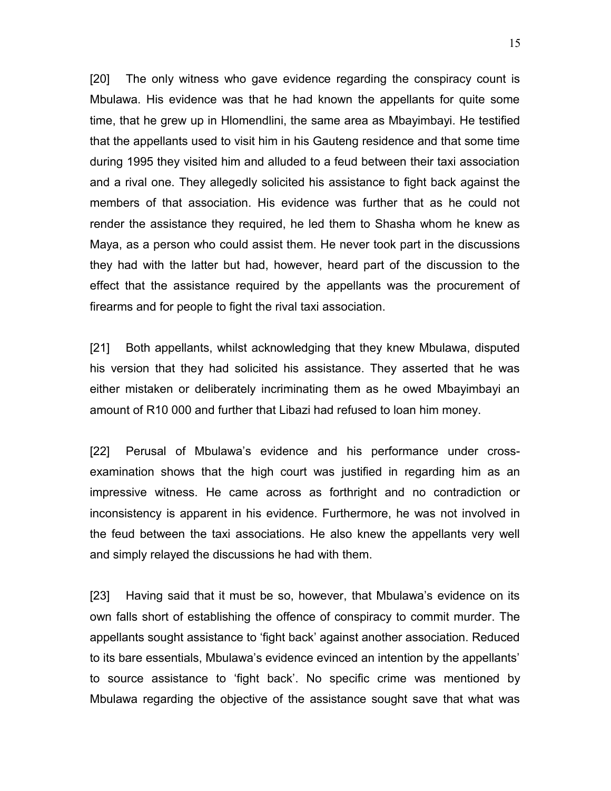[20] The only witness who gave evidence regarding the conspiracy count is Mbulawa. His evidence was that he had known the appellants for quite some time, that he grew up in Hlomendlini, the same area as Mbayimbayi. He testified that the appellants used to visit him in his Gauteng residence and that some time during 1995 they visited him and alluded to a feud between their taxi association and a rival one. They allegedly solicited his assistance to fight back against the members of that association. His evidence was further that as he could not render the assistance they required, he led them to Shasha whom he knew as Maya, as a person who could assist them. He never took part in the discussions they had with the latter but had, however, heard part of the discussion to the effect that the assistance required by the appellants was the procurement of firearms and for people to fight the rival taxi association.

[21] Both appellants, whilst acknowledging that they knew Mbulawa, disputed his version that they had solicited his assistance. They asserted that he was either mistaken or deliberately incriminating them as he owed Mbayimbayi an amount of R10 000 and further that Libazi had refused to loan him money.

[22] Perusal of Mbulawa's evidence and his performance under crossexamination shows that the high court was justified in regarding him as an impressive witness. He came across as forthright and no contradiction or inconsistency is apparent in his evidence. Furthermore, he was not involved in the feud between the taxi associations. He also knew the appellants very well and simply relayed the discussions he had with them.

[23] Having said that it must be so, however, that Mbulawa's evidence on its own falls short of establishing the offence of conspiracy to commit murder. The appellants sought assistance to 'fight back' against another association. Reduced to its bare essentials, Mbulawa's evidence evinced an intention by the appellants' to source assistance to 'fight back'. No specific crime was mentioned by Mbulawa regarding the objective of the assistance sought save that what was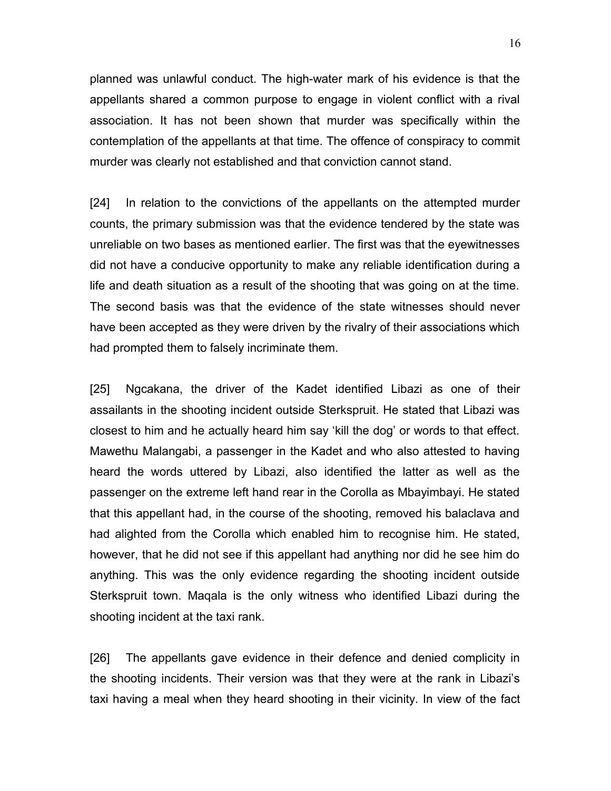planned was unlawful conduct. The high-water mark of his evidence is that the appellants shared a common purpose to engage in violent conflict with a rival association. It has not been shown that murder was specifically within the contemplation of the appellants at that time. The offence of conspiracy to commit murder was clearly not established and that conviction cannot stand.

[24] In relation to the convictions of the appellants on the attempted murder counts, the primary submission was that the evidence tendered by the state was unreliable on two bases as mentioned earlier. The first was that the eyewitnesses did not have a conducive opportunity to make any reliable identification during a life and death situation as a result of the shooting that was going on at the time. The second basis was that the evidence of the state witnesses should never have been accepted as they were driven by the rivalry of their associations which had prompted them to falsely incriminate them.

[25] Ngcakana, the driver of the Kadet identified Libazi as one of their assailants in the shooting incident outside Sterkspruit. He stated that Libazi was closest to him and he actually heard him say 'kill the dog' or words to that effect. Mawethu Malangabi, a passenger in the Kadet and who also attested to having heard the words uttered by Libazi, also identified the latter as well as the passenger on the extreme left hand rear in the Corolla as Mbayimbayi. He stated that this appellant had, in the course of the shooting, removed his balaclava and had alighted from the Corolla which enabled him to recognise him. He stated, however, that he did not see if this appellant had anything nor did he see him do anything. This was the only evidence regarding the shooting incident outside Sterkspruit town. Maqala is the only witness who identified Libazi during the shooting incident at the taxi rank.

[26] The appellants gave evidence in their defence and denied complicity in the shooting incidents. Their version was that they were at the rank in Libazi's taxi having a meal when they heard shooting in their vicinity. In view of the fact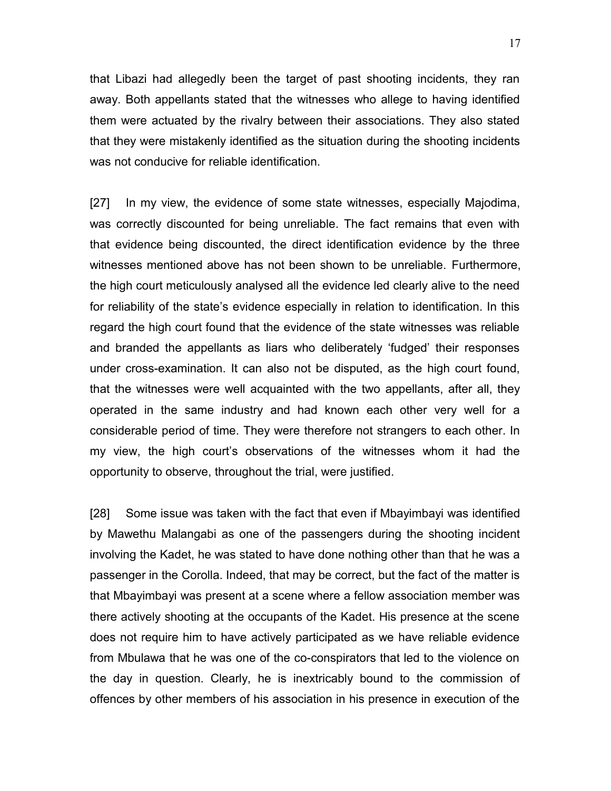that Libazi had allegedly been the target of past shooting incidents, they ran away. Both appellants stated that the witnesses who allege to having identified them were actuated by the rivalry between their associations. They also stated that they were mistakenly identified as the situation during the shooting incidents was not conducive for reliable identification.

[27] In my view, the evidence of some state witnesses, especially Majodima, was correctly discounted for being unreliable. The fact remains that even with that evidence being discounted, the direct identification evidence by the three witnesses mentioned above has not been shown to be unreliable. Furthermore, the high court meticulously analysed all the evidence led clearly alive to the need for reliability of the state's evidence especially in relation to identification. In this regard the high court found that the evidence of the state witnesses was reliable and branded the appellants as liars who deliberately 'fudged' their responses under cross-examination. It can also not be disputed, as the high court found, that the witnesses were well acquainted with the two appellants, after all, they operated in the same industry and had known each other very well for a considerable period of time. They were therefore not strangers to each other. In my view, the high court's observations of the witnesses whom it had the opportunity to observe, throughout the trial, were justified.

[28] Some issue was taken with the fact that even if Mbayimbayi was identified by Mawethu Malangabi as one of the passengers during the shooting incident involving the Kadet, he was stated to have done nothing other than that he was a passenger in the Corolla. Indeed, that may be correct, but the fact of the matter is that Mbayimbayi was present at a scene where a fellow association member was there actively shooting at the occupants of the Kadet. His presence at the scene does not require him to have actively participated as we have reliable evidence from Mbulawa that he was one of the co-conspirators that led to the violence on the day in question. Clearly, he is inextricably bound to the commission of offences by other members of his association in his presence in execution of the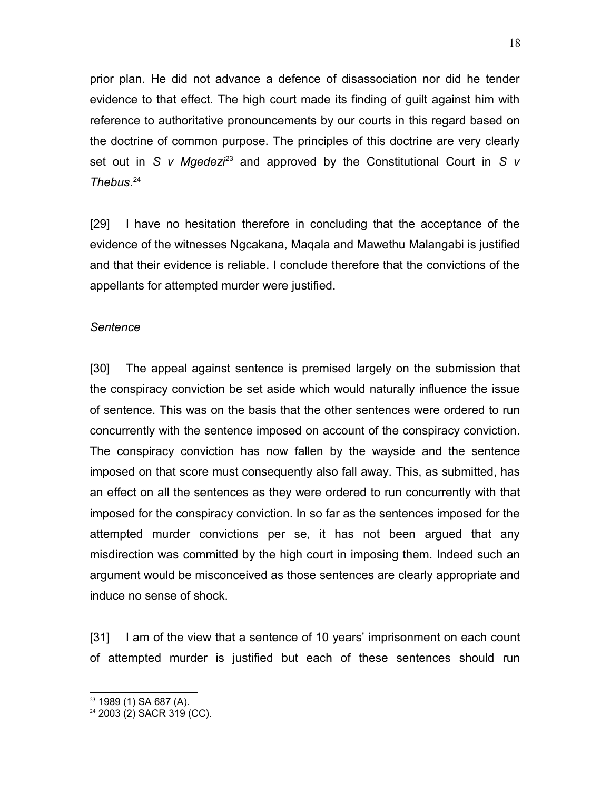prior plan. He did not advance a defence of disassociation nor did he tender evidence to that effect. The high court made its finding of guilt against him with reference to authoritative pronouncements by our courts in this regard based on the doctrine of common purpose. The principles of this doctrine are very clearly set out in *S v Mgedezi*[23](#page-17-0) and approved by the Constitutional Court in *S v Thebus*. [24](#page-17-1)

[29] I have no hesitation therefore in concluding that the acceptance of the evidence of the witnesses Ngcakana, Maqala and Mawethu Malangabi is justified and that their evidence is reliable. I conclude therefore that the convictions of the appellants for attempted murder were justified.

#### *Sentence*

[30] The appeal against sentence is premised largely on the submission that the conspiracy conviction be set aside which would naturally influence the issue of sentence. This was on the basis that the other sentences were ordered to run concurrently with the sentence imposed on account of the conspiracy conviction. The conspiracy conviction has now fallen by the wayside and the sentence imposed on that score must consequently also fall away. This, as submitted, has an effect on all the sentences as they were ordered to run concurrently with that imposed for the conspiracy conviction. In so far as the sentences imposed for the attempted murder convictions per se, it has not been argued that any misdirection was committed by the high court in imposing them. Indeed such an argument would be misconceived as those sentences are clearly appropriate and induce no sense of shock.

[31] I am of the view that a sentence of 10 years' imprisonment on each count of attempted murder is justified but each of these sentences should run

<span id="page-17-0"></span><sup>23</sup> 1989 (1) SA 687 (A).

<span id="page-17-1"></span><sup>24</sup> 2003 (2) SACR 319 (CC).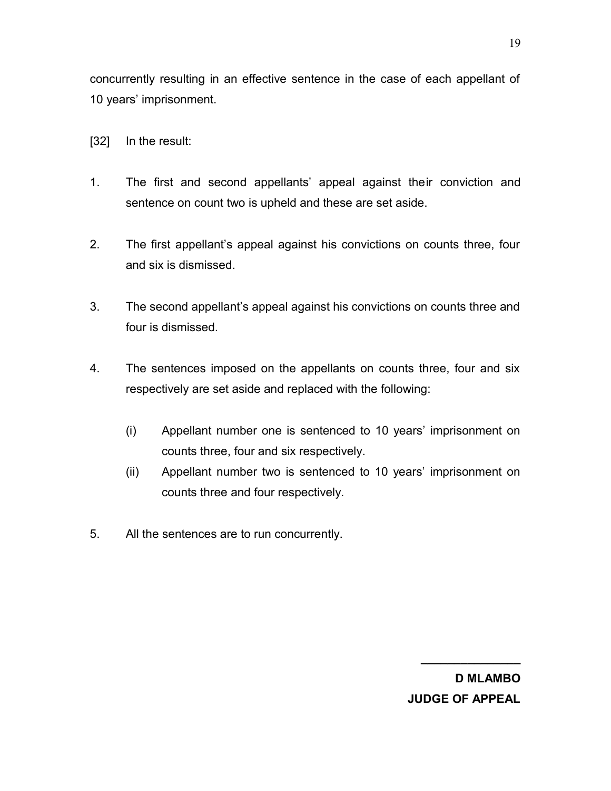concurrently resulting in an effective sentence in the case of each appellant of 10 years' imprisonment.

- [32] In the result:
- 1. The first and second appellants' appeal against their conviction and sentence on count two is upheld and these are set aside.
- 2. The first appellant's appeal against his convictions on counts three, four and six is dismissed.
- 3. The second appellant's appeal against his convictions on counts three and four is dismissed.
- 4. The sentences imposed on the appellants on counts three, four and six respectively are set aside and replaced with the following:
	- (i) Appellant number one is sentenced to 10 years' imprisonment on counts three, four and six respectively.
	- (ii) Appellant number two is sentenced to 10 years' imprisonment on counts three and four respectively.
- 5. All the sentences are to run concurrently.

**D MLAMBO JUDGE OF APPEAL**

**\_\_\_\_\_\_\_\_\_\_\_\_\_\_\_**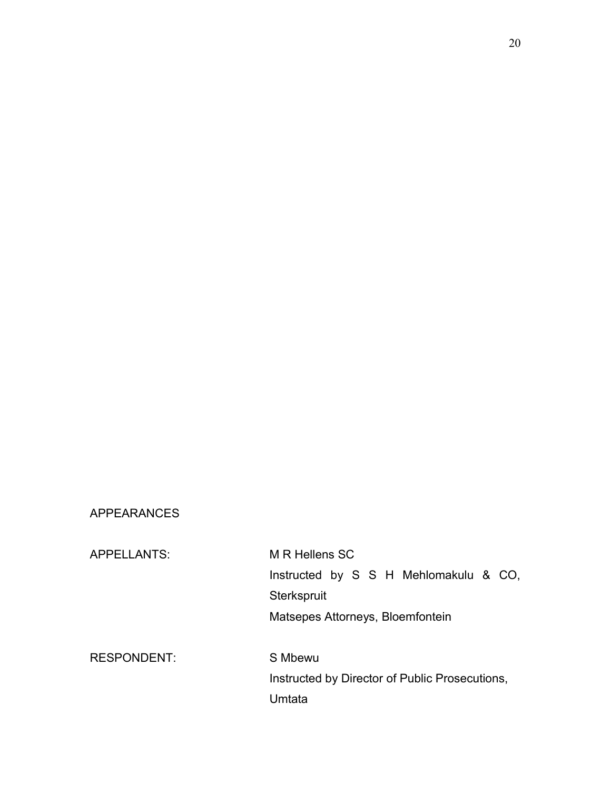### APPEARANCES

APPELLANTS: M R Hellens SC Instructed by S S H Mehlomakulu & CO, **Sterkspruit** Matsepes Attorneys, Bloemfontein RESPONDENT: S Mbewu Instructed by Director of Public Prosecutions, Umtata